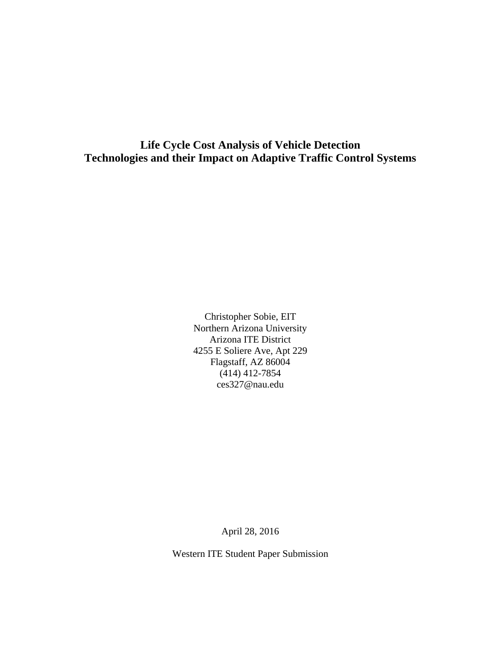**Life Cycle Cost Analysis of Vehicle Detection Technologies and their Impact on Adaptive Traffic Control Systems** 

> Christopher Sobie, EIT Northern Arizona University Arizona ITE District 4255 E Soliere Ave, Apt 229 Flagstaff, AZ 86004 (414) 412-7854 ces327@nau.edu

> > April 28, 2016

Western ITE Student Paper Submission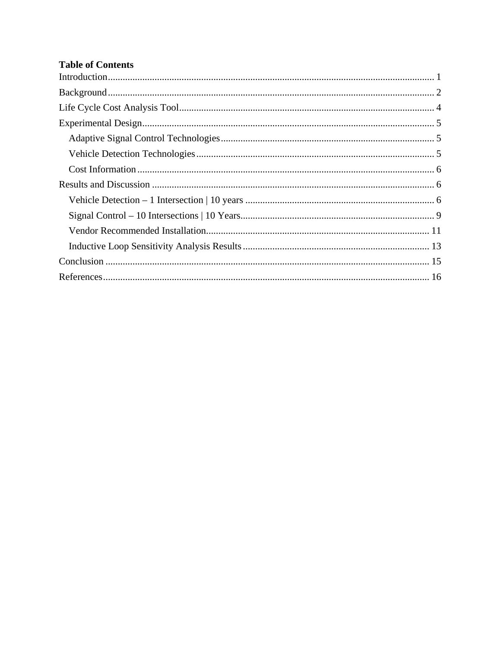# **Table of Contents**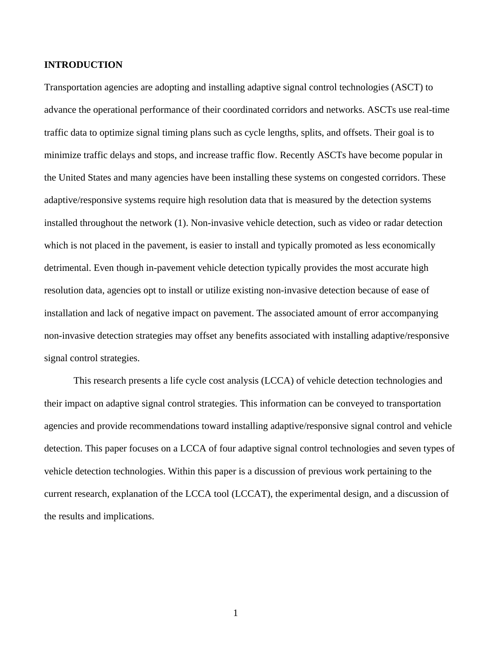### **INTRODUCTION**

Transportation agencies are adopting and installing adaptive signal control technologies (ASCT) to advance the operational performance of their coordinated corridors and networks. ASCTs use real-time traffic data to optimize signal timing plans such as cycle lengths, splits, and offsets. Their goal is to minimize traffic delays and stops, and increase traffic flow. Recently ASCTs have become popular in the United States and many agencies have been installing these systems on congested corridors. These adaptive/responsive systems require high resolution data that is measured by the detection systems installed throughout the network (1). Non-invasive vehicle detection, such as video or radar detection which is not placed in the pavement, is easier to install and typically promoted as less economically detrimental. Even though in-pavement vehicle detection typically provides the most accurate high resolution data, agencies opt to install or utilize existing non-invasive detection because of ease of installation and lack of negative impact on pavement. The associated amount of error accompanying non-invasive detection strategies may offset any benefits associated with installing adaptive/responsive signal control strategies.

This research presents a life cycle cost analysis (LCCA) of vehicle detection technologies and their impact on adaptive signal control strategies. This information can be conveyed to transportation agencies and provide recommendations toward installing adaptive/responsive signal control and vehicle detection. This paper focuses on a LCCA of four adaptive signal control technologies and seven types of vehicle detection technologies. Within this paper is a discussion of previous work pertaining to the current research, explanation of the LCCA tool (LCCAT), the experimental design, and a discussion of the results and implications.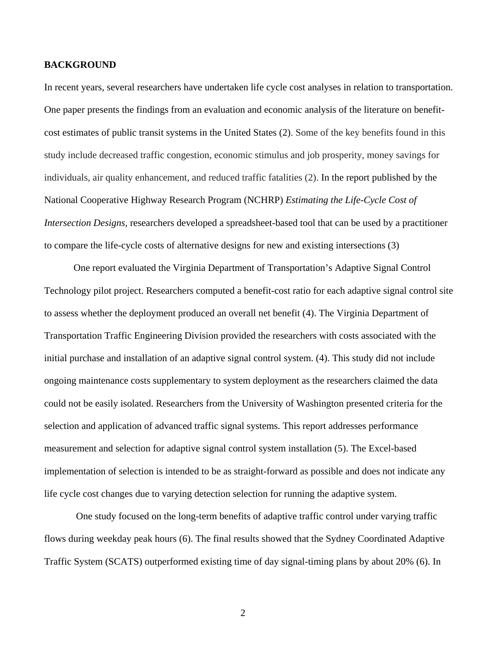#### **BACKGROUND**

In recent years, several researchers have undertaken life cycle cost analyses in relation to transportation. One paper presents the findings from an evaluation and economic analysis of the literature on benefitcost estimates of public transit systems in the United States (2). Some of the key benefits found in this study include decreased traffic congestion, economic stimulus and job prosperity, money savings for individuals, air quality enhancement, and reduced traffic fatalities (2). In the report published by the National Cooperative Highway Research Program (NCHRP) *Estimating the Life-Cycle Cost of Intersection Designs,* researchers developed a spreadsheet-based tool that can be used by a practitioner to compare the life-cycle costs of alternative designs for new and existing intersections (3)

One report evaluated the Virginia Department of Transportation's Adaptive Signal Control Technology pilot project. Researchers computed a benefit-cost ratio for each adaptive signal control site to assess whether the deployment produced an overall net benefit (4). The Virginia Department of Transportation Traffic Engineering Division provided the researchers with costs associated with the initial purchase and installation of an adaptive signal control system. (4). This study did not include ongoing maintenance costs supplementary to system deployment as the researchers claimed the data could not be easily isolated. Researchers from the University of Washington presented criteria for the selection and application of advanced traffic signal systems. This report addresses performance measurement and selection for adaptive signal control system installation (5). The Excel-based implementation of selection is intended to be as straight-forward as possible and does not indicate any life cycle cost changes due to varying detection selection for running the adaptive system.

 One study focused on the long-term benefits of adaptive traffic control under varying traffic flows during weekday peak hours (6). The final results showed that the Sydney Coordinated Adaptive Traffic System (SCATS) outperformed existing time of day signal-timing plans by about 20% (6). In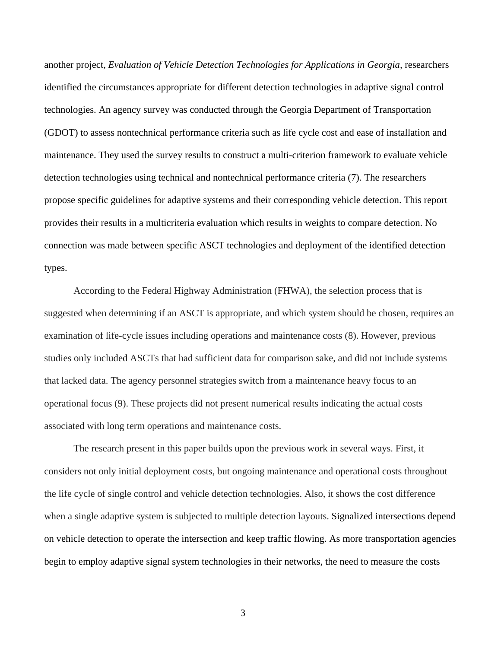another project*, Evaluation of Vehicle Detection Technologies for Applications in Georgia,* researchers identified the circumstances appropriate for different detection technologies in adaptive signal control technologies. An agency survey was conducted through the Georgia Department of Transportation (GDOT) to assess nontechnical performance criteria such as life cycle cost and ease of installation and maintenance. They used the survey results to construct a multi-criterion framework to evaluate vehicle detection technologies using technical and nontechnical performance criteria (7). The researchers propose specific guidelines for adaptive systems and their corresponding vehicle detection. This report provides their results in a multicriteria evaluation which results in weights to compare detection. No connection was made between specific ASCT technologies and deployment of the identified detection types.

According to the Federal Highway Administration (FHWA), the selection process that is suggested when determining if an ASCT is appropriate, and which system should be chosen, requires an examination of life-cycle issues including operations and maintenance costs (8). However, previous studies only included ASCTs that had sufficient data for comparison sake, and did not include systems that lacked data. The agency personnel strategies switch from a maintenance heavy focus to an operational focus (9). These projects did not present numerical results indicating the actual costs associated with long term operations and maintenance costs.

The research present in this paper builds upon the previous work in several ways. First, it considers not only initial deployment costs, but ongoing maintenance and operational costs throughout the life cycle of single control and vehicle detection technologies. Also, it shows the cost difference when a single adaptive system is subjected to multiple detection layouts. Signalized intersections depend on vehicle detection to operate the intersection and keep traffic flowing. As more transportation agencies begin to employ adaptive signal system technologies in their networks, the need to measure the costs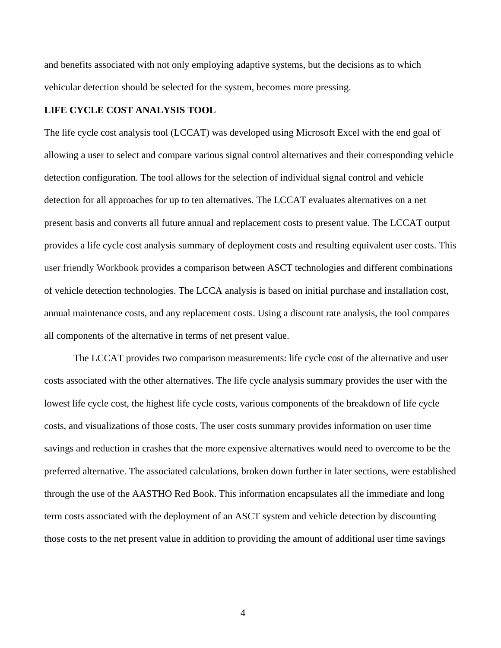and benefits associated with not only employing adaptive systems, but the decisions as to which vehicular detection should be selected for the system, becomes more pressing.

### **LIFE CYCLE COST ANALYSIS TOOL**

The life cycle cost analysis tool (LCCAT) was developed using Microsoft Excel with the end goal of allowing a user to select and compare various signal control alternatives and their corresponding vehicle detection configuration. The tool allows for the selection of individual signal control and vehicle detection for all approaches for up to ten alternatives. The LCCAT evaluates alternatives on a net present basis and converts all future annual and replacement costs to present value. The LCCAT output provides a life cycle cost analysis summary of deployment costs and resulting equivalent user costs. This user friendly Workbook provides a comparison between ASCT technologies and different combinations of vehicle detection technologies. The LCCA analysis is based on initial purchase and installation cost, annual maintenance costs, and any replacement costs. Using a discount rate analysis, the tool compares all components of the alternative in terms of net present value.

The LCCAT provides two comparison measurements: life cycle cost of the alternative and user costs associated with the other alternatives. The life cycle analysis summary provides the user with the lowest life cycle cost, the highest life cycle costs, various components of the breakdown of life cycle costs, and visualizations of those costs. The user costs summary provides information on user time savings and reduction in crashes that the more expensive alternatives would need to overcome to be the preferred alternative. The associated calculations, broken down further in later sections, were established through the use of the AASTHO Red Book. This information encapsulates all the immediate and long term costs associated with the deployment of an ASCT system and vehicle detection by discounting those costs to the net present value in addition to providing the amount of additional user time savings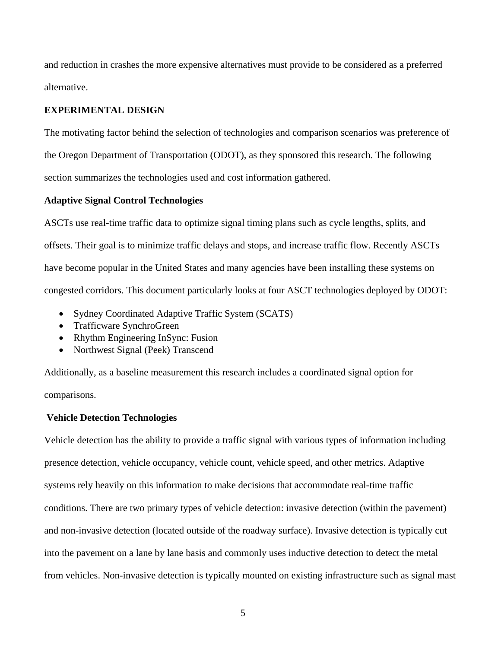and reduction in crashes the more expensive alternatives must provide to be considered as a preferred alternative.

## **EXPERIMENTAL DESIGN**

The motivating factor behind the selection of technologies and comparison scenarios was preference of the Oregon Department of Transportation (ODOT), as they sponsored this research. The following section summarizes the technologies used and cost information gathered.

### **Adaptive Signal Control Technologies**

ASCTs use real-time traffic data to optimize signal timing plans such as cycle lengths, splits, and offsets. Their goal is to minimize traffic delays and stops, and increase traffic flow. Recently ASCTs have become popular in the United States and many agencies have been installing these systems on congested corridors. This document particularly looks at four ASCT technologies deployed by ODOT:

- Sydney Coordinated Adaptive Traffic System (SCATS)
- Trafficware SynchroGreen
- Rhythm Engineering InSync: Fusion
- Northwest Signal (Peek) Transcend

Additionally, as a baseline measurement this research includes a coordinated signal option for comparisons.

#### **Vehicle Detection Technologies**

Vehicle detection has the ability to provide a traffic signal with various types of information including presence detection, vehicle occupancy, vehicle count, vehicle speed, and other metrics. Adaptive systems rely heavily on this information to make decisions that accommodate real-time traffic conditions. There are two primary types of vehicle detection: invasive detection (within the pavement) and non-invasive detection (located outside of the roadway surface). Invasive detection is typically cut into the pavement on a lane by lane basis and commonly uses inductive detection to detect the metal from vehicles. Non-invasive detection is typically mounted on existing infrastructure such as signal mast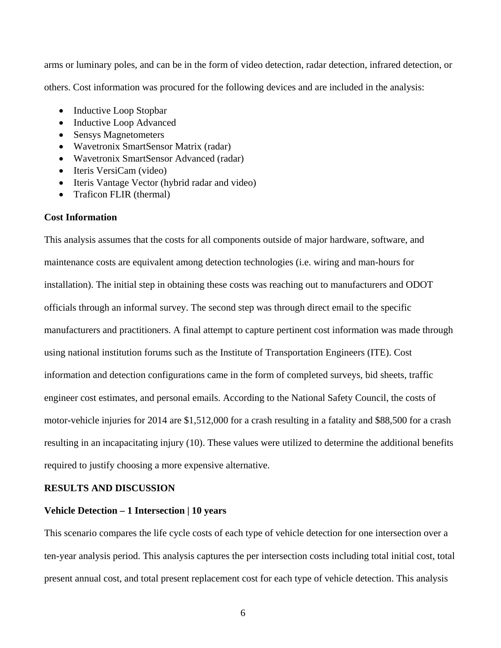arms or luminary poles, and can be in the form of video detection, radar detection, infrared detection, or others. Cost information was procured for the following devices and are included in the analysis:

- Inductive Loop Stopbar
- Inductive Loop Advanced
- Sensys Magnetometers
- Wavetronix SmartSensor Matrix (radar)
- Wavetronix SmartSensor Advanced (radar)
- Iteris VersiCam (video)
- Iteris Vantage Vector (hybrid radar and video)
- Traficon FLIR (thermal)

## **Cost Information**

This analysis assumes that the costs for all components outside of major hardware, software, and maintenance costs are equivalent among detection technologies (i.e. wiring and man-hours for installation). The initial step in obtaining these costs was reaching out to manufacturers and ODOT officials through an informal survey. The second step was through direct email to the specific manufacturers and practitioners. A final attempt to capture pertinent cost information was made through using national institution forums such as the Institute of Transportation Engineers (ITE). Cost information and detection configurations came in the form of completed surveys, bid sheets, traffic engineer cost estimates, and personal emails. According to the National Safety Council, the costs of motor-vehicle injuries for 2014 are \$1,512,000 for a crash resulting in a fatality and \$88,500 for a crash resulting in an incapacitating injury (10). These values were utilized to determine the additional benefits required to justify choosing a more expensive alternative.

### **RESULTS AND DISCUSSION**

#### **Vehicle Detection – 1 Intersection | 10 years**

This scenario compares the life cycle costs of each type of vehicle detection for one intersection over a ten-year analysis period. This analysis captures the per intersection costs including total initial cost, total present annual cost, and total present replacement cost for each type of vehicle detection. This analysis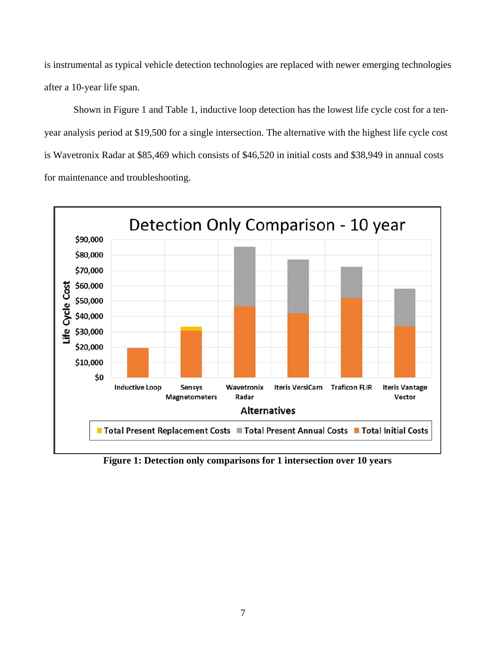is instrumental as typical vehicle detection technologies are replaced with newer emerging technologies after a 10-year life span.

Shown in Figure 1 and Table 1, inductive loop detection has the lowest life cycle cost for a tenyear analysis period at \$19,500 for a single intersection. The alternative with the highest life cycle cost is Wavetronix Radar at \$85,469 which consists of \$46,520 in initial costs and \$38,949 in annual costs for maintenance and troubleshooting.



**Figure 1: Detection only comparisons for 1 intersection over 10 years**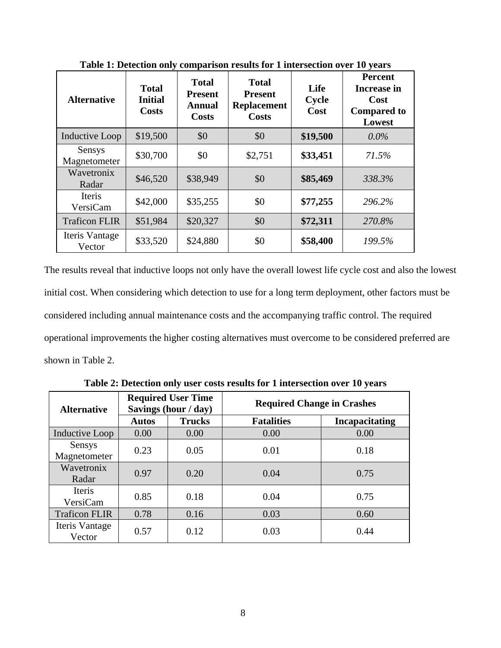| <b>Alternative</b>       | <b>Total</b><br><b>Initial</b><br>Costs | <b>Total</b><br><b>Present</b><br><b>Annual</b><br>Costs | <b>Total</b><br><b>Present</b><br><b>Replacement</b><br>Costs | Life<br>Cycle<br>Cost | <b>Percent</b><br>Increase in<br>Cost<br><b>Compared to</b><br>Lowest |
|--------------------------|-----------------------------------------|----------------------------------------------------------|---------------------------------------------------------------|-----------------------|-----------------------------------------------------------------------|
| Inductive Loop           | \$19,500                                | \$0                                                      | \$0                                                           | \$19,500              | $0.0\%$                                                               |
| Sensys<br>Magnetometer   | \$30,700                                | \$0                                                      | \$2,751                                                       | \$33,451              | 71.5%                                                                 |
| Wavetronix<br>Radar      | \$46,520                                | \$38,949                                                 | \$0                                                           | \$85,469              | 338.3%                                                                |
| Iteris<br>VersiCam       | \$42,000                                | \$35,255                                                 | \$0                                                           | \$77,255              | 296.2%                                                                |
| <b>Traficon FLIR</b>     | \$51,984                                | \$20,327                                                 | \$0                                                           | \$72,311              | 270.8%                                                                |
| Iteris Vantage<br>Vector | \$33,520                                | \$24,880                                                 | \$0                                                           | \$58,400              | 199.5%                                                                |

**Table 1: Detection only comparison results for 1 intersection over 10 years** 

The results reveal that inductive loops not only have the overall lowest life cycle cost and also the lowest initial cost. When considering which detection to use for a long term deployment, other factors must be considered including annual maintenance costs and the accompanying traffic control. The required operational improvements the higher costing alternatives must overcome to be considered preferred are shown in Table 2.

| <b>Alternative</b>       | <b>Required User Time</b><br>Savings (hour / day) |               | <b>Required Change in Crashes</b> |                       |  |
|--------------------------|---------------------------------------------------|---------------|-----------------------------------|-----------------------|--|
|                          | <b>Autos</b>                                      | <b>Trucks</b> | <b>Fatalities</b>                 | <b>Incapacitating</b> |  |
| <b>Inductive Loop</b>    | 0.00                                              | 0.00          | 0.00                              | 0.00                  |  |
| Sensys<br>Magnetometer   | 0.23                                              | 0.05          | 0.01                              | 0.18                  |  |
| Wavetronix<br>Radar      | 0.97                                              | 0.20          | 0.04                              | 0.75                  |  |
| Iteris<br>VersiCam       | 0.85                                              | 0.18          | 0.04                              | 0.75                  |  |
| <b>Traficon FLIR</b>     | 0.78                                              | 0.16          | 0.03                              | 0.60                  |  |
| Iteris Vantage<br>Vector | 0.57                                              | 0.12          | 0.03                              | 0.44                  |  |

**Table 2: Detection only user costs results for 1 intersection over 10 years**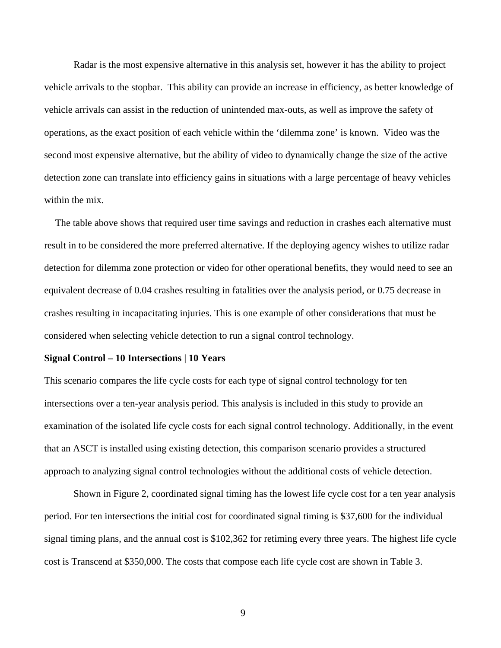Radar is the most expensive alternative in this analysis set, however it has the ability to project vehicle arrivals to the stopbar. This ability can provide an increase in efficiency, as better knowledge of vehicle arrivals can assist in the reduction of unintended max-outs, as well as improve the safety of operations, as the exact position of each vehicle within the 'dilemma zone' is known. Video was the second most expensive alternative, but the ability of video to dynamically change the size of the active detection zone can translate into efficiency gains in situations with a large percentage of heavy vehicles within the mix.

The table above shows that required user time savings and reduction in crashes each alternative must result in to be considered the more preferred alternative. If the deploying agency wishes to utilize radar detection for dilemma zone protection or video for other operational benefits, they would need to see an equivalent decrease of 0.04 crashes resulting in fatalities over the analysis period, or 0.75 decrease in crashes resulting in incapacitating injuries. This is one example of other considerations that must be considered when selecting vehicle detection to run a signal control technology.

#### **Signal Control – 10 Intersections | 10 Years**

This scenario compares the life cycle costs for each type of signal control technology for ten intersections over a ten-year analysis period. This analysis is included in this study to provide an examination of the isolated life cycle costs for each signal control technology. Additionally, in the event that an ASCT is installed using existing detection, this comparison scenario provides a structured approach to analyzing signal control technologies without the additional costs of vehicle detection.

Shown in Figure 2, coordinated signal timing has the lowest life cycle cost for a ten year analysis period. For ten intersections the initial cost for coordinated signal timing is \$37,600 for the individual signal timing plans, and the annual cost is \$102,362 for retiming every three years. The highest life cycle cost is Transcend at \$350,000. The costs that compose each life cycle cost are shown in Table 3.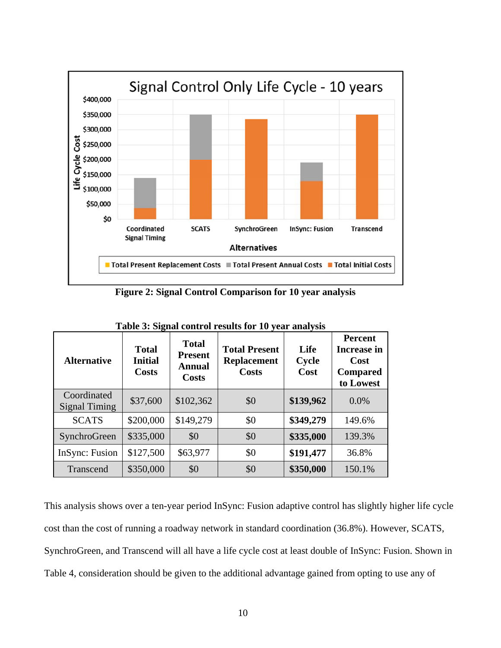

**Figure 2: Signal Control Comparison for 10 year analysis** 

| <b>Alternative</b>                  | <b>Total</b><br><b>Initial</b><br><b>Costs</b> | <b>Total</b><br><b>Present</b><br><b>Annual</b><br><b>Costs</b> | <b>Total Present</b><br><b>Replacement</b><br><b>Costs</b> | Life<br>Cycle<br>Cost | <b>Percent</b><br><b>Increase in</b><br>Cost<br><b>Compared</b><br>to Lowest |
|-------------------------------------|------------------------------------------------|-----------------------------------------------------------------|------------------------------------------------------------|-----------------------|------------------------------------------------------------------------------|
| Coordinated<br><b>Signal Timing</b> | \$37,600                                       | \$102,362                                                       | \$0                                                        | \$139,962             | 0.0%                                                                         |
| <b>SCATS</b>                        | \$200,000                                      | \$149,279                                                       | \$0                                                        | \$349,279             | 149.6%                                                                       |
| SynchroGreen                        | \$335,000                                      | \$0                                                             | \$0                                                        | \$335,000             | 139.3%                                                                       |
| InSync: Fusion                      | \$127,500                                      | \$63,977                                                        | \$0                                                        | \$191,477             | 36.8%                                                                        |
| Transcend                           | \$350,000                                      | \$0                                                             | \$0                                                        | \$350,000             | 150.1%                                                                       |

**Table 3: Signal control results for 10 year analysis** 

This analysis shows over a ten-year period InSync: Fusion adaptive control has slightly higher life cycle cost than the cost of running a roadway network in standard coordination (36.8%). However, SCATS, SynchroGreen, and Transcend will all have a life cycle cost at least double of InSync: Fusion. Shown in Table 4, consideration should be given to the additional advantage gained from opting to use any of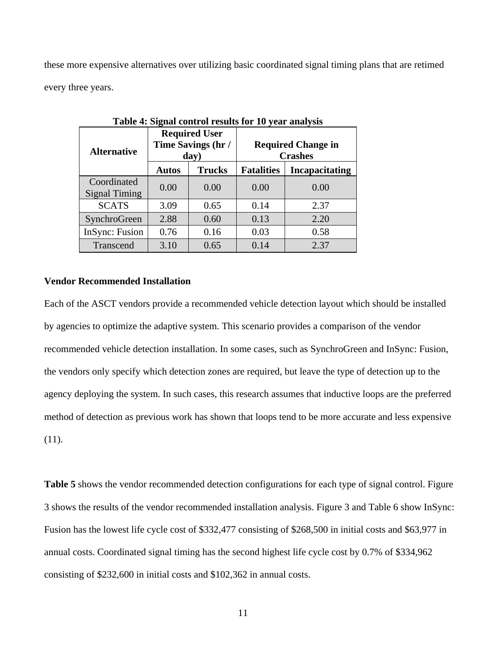these more expensive alternatives over utilizing basic coordinated signal timing plans that are retimed every three years.

| <b>Alternative</b>                  |                               | <b>Required User</b><br>Time Savings (hr /<br>day) | <b>Required Change in</b><br><b>Crashes</b> |                       |  |
|-------------------------------------|-------------------------------|----------------------------------------------------|---------------------------------------------|-----------------------|--|
|                                     | <b>Trucks</b><br><b>Autos</b> |                                                    | <b>Fatalities</b>                           | <b>Incapacitating</b> |  |
| Coordinated<br><b>Signal Timing</b> | 0.00                          | 0.00                                               | 0.00                                        | 0.00                  |  |
| <b>SCATS</b>                        | 3.09                          | 0.65                                               | 0.14                                        | 2.37                  |  |
| SynchroGreen                        | 2.88                          | 0.60                                               | 0.13                                        | 2.20                  |  |
| InSync: Fusion                      | 0.76                          | 0.16                                               | 0.03                                        | 0.58                  |  |
| Transcend                           | 3.10                          | 0.65                                               | 0.14                                        | 2.37                  |  |

**Table 4: Signal control results for 10 year analysis** 

## **Vendor Recommended Installation**

Each of the ASCT vendors provide a recommended vehicle detection layout which should be installed by agencies to optimize the adaptive system. This scenario provides a comparison of the vendor recommended vehicle detection installation. In some cases, such as SynchroGreen and InSync: Fusion, the vendors only specify which detection zones are required, but leave the type of detection up to the agency deploying the system. In such cases, this research assumes that inductive loops are the preferred method of detection as previous work has shown that loops tend to be more accurate and less expensive (11).

**Table 5** shows the vendor recommended detection configurations for each type of signal control. Figure 3 shows the results of the vendor recommended installation analysis. Figure 3 and Table 6 show InSync: Fusion has the lowest life cycle cost of \$332,477 consisting of \$268,500 in initial costs and \$63,977 in annual costs. Coordinated signal timing has the second highest life cycle cost by 0.7% of \$334,962 consisting of \$232,600 in initial costs and \$102,362 in annual costs.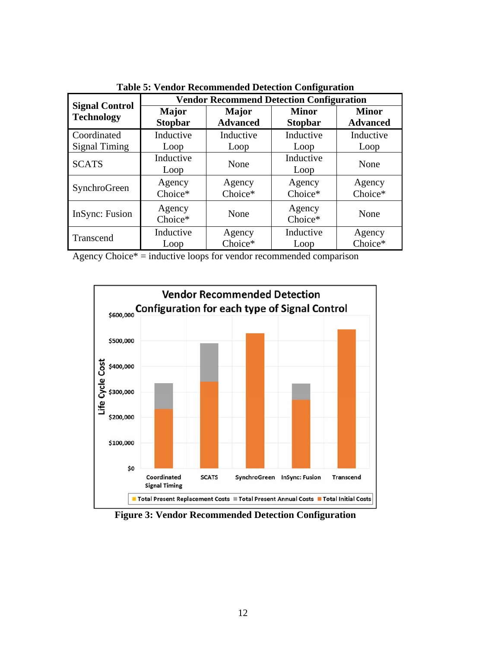|                       | <b>Vendor Recommend Detection Configuration</b> |                 |                   |                 |  |  |  |
|-----------------------|-------------------------------------------------|-----------------|-------------------|-----------------|--|--|--|
| <b>Signal Control</b> | <b>Major</b>                                    | Major           | <b>Minor</b>      | <b>Minor</b>    |  |  |  |
| <b>Technology</b>     | <b>Stopbar</b>                                  | <b>Advanced</b> | <b>Stopbar</b>    | <b>Advanced</b> |  |  |  |
| Coordinated           | Inductive                                       | Inductive       | Inductive         | Inductive       |  |  |  |
| <b>Signal Timing</b>  | Loop                                            | Loop            | Loop              | Loop            |  |  |  |
| <b>SCATS</b>          | Inductive<br>Loop                               | None            | Inductive<br>Loop | None            |  |  |  |
| SynchroGreen          | Agency                                          | Agency          | Agency            | Agency          |  |  |  |
|                       | Choice*                                         | Choice*         | Choice*           | Choice*         |  |  |  |
| InSync: Fusion        | Agency<br>Choice*                               | None            | Agency<br>Choice* | None            |  |  |  |
| Transcend             | Inductive                                       | Agency          | Inductive         | Agency          |  |  |  |
|                       | Loop                                            | Choice*         | Loop              | Choice*         |  |  |  |

**Table 5: Vendor Recommended Detection Configuration** 

|  |  |  | Agency Choice* $=$ inductive loops for vendor recommended comparison |  |
|--|--|--|----------------------------------------------------------------------|--|
|  |  |  |                                                                      |  |
|  |  |  |                                                                      |  |



**Figure 3: Vendor Recommended Detection Configuration**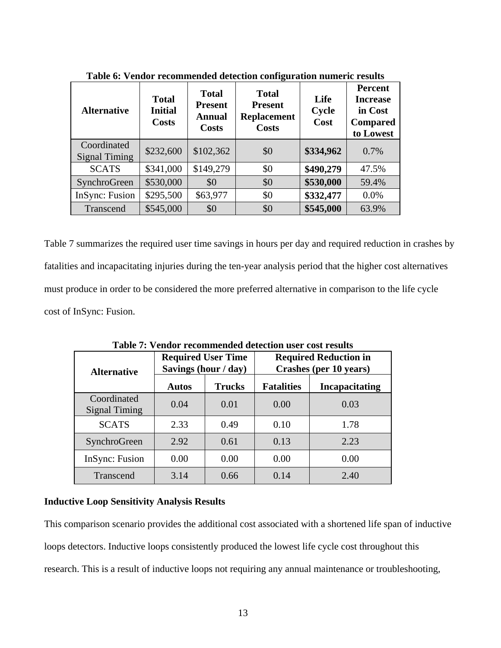| <b>Alternative</b>                  | <b>Total</b><br><b>Initial</b><br><b>Costs</b> | <b>Total</b><br><b>Present</b><br><b>Annual</b><br><b>Costs</b> | -<br><b>Total</b><br><b>Present</b><br><b>Replacement</b><br><b>Costs</b> | Life<br>Cycle<br>Cost | Percent<br><b>Increase</b><br>in Cost<br><b>Compared</b><br>to Lowest |
|-------------------------------------|------------------------------------------------|-----------------------------------------------------------------|---------------------------------------------------------------------------|-----------------------|-----------------------------------------------------------------------|
| Coordinated<br><b>Signal Timing</b> | \$232,600                                      | \$102,362                                                       | \$0                                                                       | \$334,962             | 0.7%                                                                  |
| <b>SCATS</b>                        | \$341,000                                      | \$149,279                                                       | \$0                                                                       | \$490,279             | 47.5%                                                                 |
| SynchroGreen                        | \$530,000                                      | \$0                                                             | \$0                                                                       | \$530,000             | 59.4%                                                                 |
| InSync: Fusion                      | \$295,500                                      | \$63,977                                                        | \$0                                                                       | \$332,477             | 0.0%                                                                  |
| Transcend                           | \$545,000                                      | \$0                                                             | \$0                                                                       | \$545,000             | 63.9%                                                                 |

**Table 6: Vendor recommended detection configuration numeric results** 

Table 7 summarizes the required user time savings in hours per day and required reduction in crashes by fatalities and incapacitating injuries during the ten-year analysis period that the higher cost alternatives must produce in order to be considered the more preferred alternative in comparison to the life cycle cost of InSync: Fusion.

| Table 7. Vendor recommended detection user cost results |                      |                           |                                                        |                       |  |  |  |  |
|---------------------------------------------------------|----------------------|---------------------------|--------------------------------------------------------|-----------------------|--|--|--|--|
| <b>Alternative</b>                                      | Savings (hour / day) | <b>Required User Time</b> | <b>Required Reduction in</b><br>Crashes (per 10 years) |                       |  |  |  |  |
|                                                         | <b>Autos</b>         | <b>Trucks</b>             | <b>Fatalities</b>                                      | <b>Incapacitating</b> |  |  |  |  |
| Coordinated<br><b>Signal Timing</b>                     | 0.04                 | 0.01                      | 0.00                                                   | 0.03                  |  |  |  |  |
| <b>SCATS</b>                                            | 2.33                 | 0.49                      | 0.10                                                   | 1.78                  |  |  |  |  |
| SynchroGreen                                            | 2.92                 | 0.61                      | 0.13                                                   | 2.23                  |  |  |  |  |
| InSync: Fusion                                          | 0.00                 | 0.00                      | 0.00                                                   | 0.00                  |  |  |  |  |
| Transcend                                               | 3.14                 | 0.66                      | 0.14                                                   | 2.40                  |  |  |  |  |

**Table 7: Vendor recommended detection user cost results** 

### **Inductive Loop Sensitivity Analysis Results**

This comparison scenario provides the additional cost associated with a shortened life span of inductive loops detectors. Inductive loops consistently produced the lowest life cycle cost throughout this research. This is a result of inductive loops not requiring any annual maintenance or troubleshooting,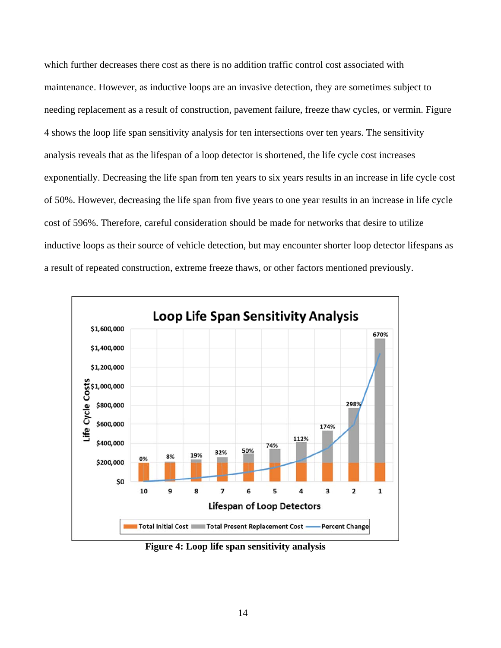which further decreases there cost as there is no addition traffic control cost associated with maintenance. However, as inductive loops are an invasive detection, they are sometimes subject to needing replacement as a result of construction, pavement failure, freeze thaw cycles, or vermin. Figure 4 shows the loop life span sensitivity analysis for ten intersections over ten years. The sensitivity analysis reveals that as the lifespan of a loop detector is shortened, the life cycle cost increases exponentially. Decreasing the life span from ten years to six years results in an increase in life cycle cost of 50%. However, decreasing the life span from five years to one year results in an increase in life cycle cost of 596%. Therefore, careful consideration should be made for networks that desire to utilize inductive loops as their source of vehicle detection, but may encounter shorter loop detector lifespans as a result of repeated construction, extreme freeze thaws, or other factors mentioned previously.



**Figure 4: Loop life span sensitivity analysis**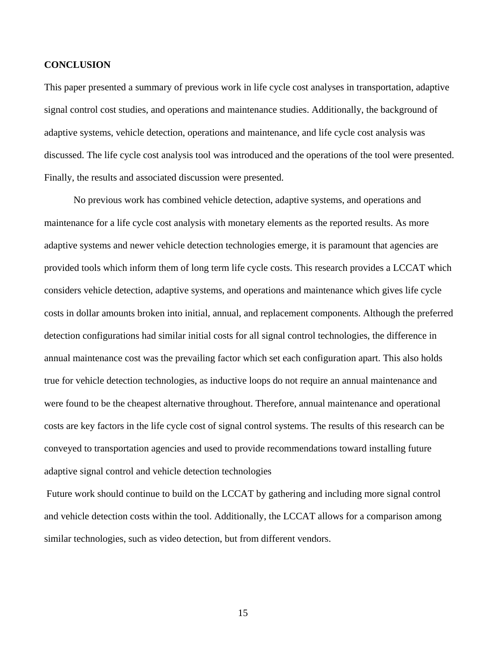### **CONCLUSION**

This paper presented a summary of previous work in life cycle cost analyses in transportation, adaptive signal control cost studies, and operations and maintenance studies. Additionally, the background of adaptive systems, vehicle detection, operations and maintenance, and life cycle cost analysis was discussed. The life cycle cost analysis tool was introduced and the operations of the tool were presented. Finally, the results and associated discussion were presented.

No previous work has combined vehicle detection, adaptive systems, and operations and maintenance for a life cycle cost analysis with monetary elements as the reported results. As more adaptive systems and newer vehicle detection technologies emerge, it is paramount that agencies are provided tools which inform them of long term life cycle costs. This research provides a LCCAT which considers vehicle detection, adaptive systems, and operations and maintenance which gives life cycle costs in dollar amounts broken into initial, annual, and replacement components. Although the preferred detection configurations had similar initial costs for all signal control technologies, the difference in annual maintenance cost was the prevailing factor which set each configuration apart. This also holds true for vehicle detection technologies, as inductive loops do not require an annual maintenance and were found to be the cheapest alternative throughout. Therefore, annual maintenance and operational costs are key factors in the life cycle cost of signal control systems. The results of this research can be conveyed to transportation agencies and used to provide recommendations toward installing future adaptive signal control and vehicle detection technologies

 Future work should continue to build on the LCCAT by gathering and including more signal control and vehicle detection costs within the tool. Additionally, the LCCAT allows for a comparison among similar technologies, such as video detection, but from different vendors.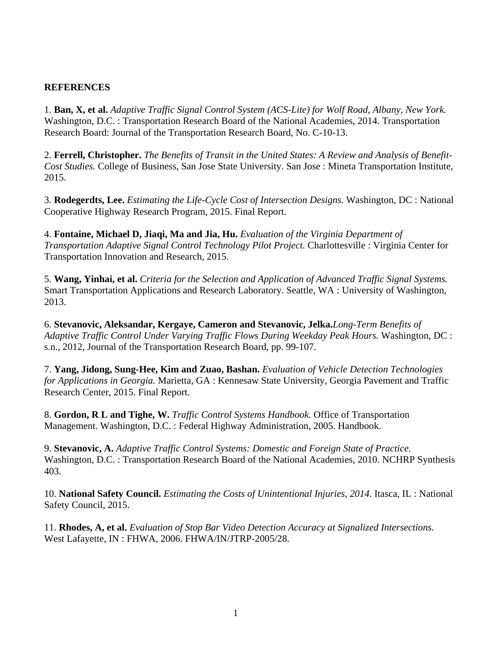## **REFERENCES**

1. **Ban, X, et al.** *Adaptive Traffic Signal Control System (ACS-Lite) for Wolf Road, Albany, New York.*  Washington, D.C. : Transportation Research Board of the National Academies, 2014. Transportation Research Board: Journal of the Transportation Research Board, No. C-10-13.

2. **Ferrell, Christopher.** *The Benefits of Transit in the United States: A Review and Analysis of Benefit-Cost Studies.* College of Business, San Jose State University. San Jose : Mineta Transportation Institute, 2015.

3. **Rodegerdts, Lee.** *Estimating the Life-Cycle Cost of Intersection Designs.* Washington, DC : National Cooperative Highway Research Program, 2015. Final Report.

4. **Fontaine, Michael D, Jiaqi, Ma and Jia, Hu.** *Evaluation of the Virginia Department of Transportation Adaptive Signal Control Technology Pilot Project.* Charlottesville : Virginia Center for Transportation Innovation and Research, 2015.

5. **Wang, Yinhai, et al.** *Criteria for the Selection and Application of Advanced Traffic Signal Systems.*  Smart Transportation Applications and Research Laboratory. Seattle, WA : University of Washington, 2013.

6. **Stevanovic, Aleksandar, Kergaye, Cameron and Stevanovic, Jelka.***Long-Term Benefits of Adaptive Traffic Control Under Varying Traffic Flows During Weekday Peak Hours.* Washington, DC : s.n., 2012, Journal of the Transportation Research Board, pp. 99-107.

7. **Yang, Jidong, Sung-Hee, Kim and Zuao, Bashan.** *Evaluation of Vehicle Detection Technologies for Applications in Georgia.* Marietta, GA : Kennesaw State University, Georgia Pavement and Traffic Research Center, 2015. Final Report.

8. **Gordon, R L and Tighe, W.** *Traffic Control Systems Handbook.* Office of Transportation Management. Washington, D.C. : Federal Highway Administration, 2005. Handbook.

9. **Stevanovic, A.** *Adaptive Traffic Control Systems: Domestic and Foreign State of Practice.*  Washington, D.C. : Transportation Research Board of the National Academies, 2010. NCHRP Synthesis 403.

10. **National Safety Council.** *Estimating the Costs of Unintentional Injuries, 2014.* Itasca, IL : National Safety Council, 2015.

11. **Rhodes, A, et al.** *Evaluation of Stop Bar Video Detection Accuracy at Signalized Intersections.*  West Lafayette, IN : FHWA, 2006. FHWA/IN/JTRP-2005/28.